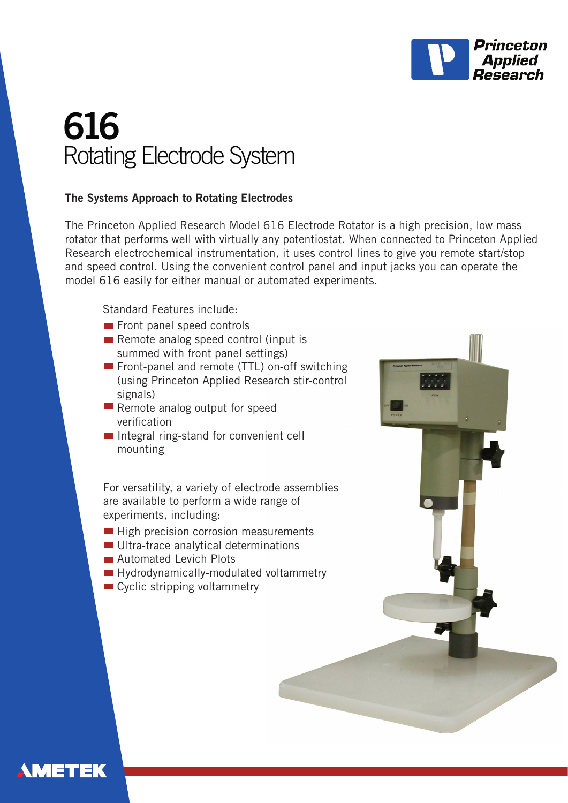

# **616** Rotating Electrode System

#### **The Systems Approach to Rotating Electrodes**

The Princeton Applied Research Model 616 Electrode Rotator is a high precision, low mass rotator that performs well with virtually any potentiostat. When connected to Princeton Applied Research electrochemical instrumentation, it uses control lines to give you remote start/stop and speed control. Using the convenient control panel and input jacks you can operate the model 616 easily for either manual or automated experiments.

Standard Features include:

- Front panel speed controls
- Remote analog speed control (input is summed with front panel settings)
- Front-panel and remote (TTL) on-off switching (using Princeton Applied Research stir-control signals)
- Remote analog output for speed verification
- Integral ring-stand for convenient cell mounting

For versatility, a variety of electrode assemblies are available to perform a wide range of experiments, including:

- High precision corrosion measurements
- Ultra-trace analytical determinations
- **Automated Levich Plots**
- Hydrodynamically-modulated voltammetry
- Cyclic stripping voltammetry